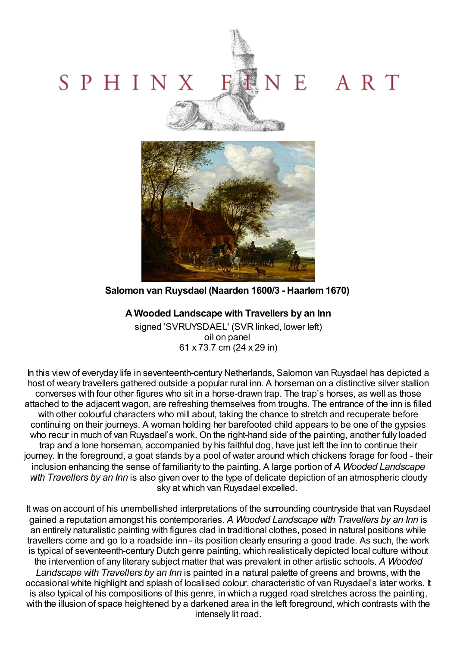# NE ART SPHINX



**Salomon van Ruysdael (Naarden 1600/3 - Haarlem1670)**

## **A Wooded Landscape with Travellers by an Inn**

signed 'SVRUYSDAEL' (SVR linked, lower left) oil on panel 61 x 73.7 cm (24 x 29 in)

In this view of everyday life in seventeenth-century Netherlands, Salomon van Ruysdael has depicted a host of weary travellers gathered outside a popular rural inn. A horseman on a distinctive silver stallion converses with four other figures who sit in a horse-drawn trap. The trap's horses, as well as those attached to the adjacent wagon, are refreshing themselves from troughs. The entrance of the inn is filled with other colourful characters who mill about, taking the chance to stretch and recuperate before continuing on their journeys. A woman holding her barefooted child appears to be one of the gypsies who recur in much of van Ruysdael's work. On the right-hand side of the painting, another fully loaded trap and a lone horseman, accompanied by his faithful dog, have just left the inn to continue their journey. In the foreground, a goat stands by a pool of water around which chickens forage for food - their inclusion enhancing the sense of familiarity to the painting. A large portion of *A Wooded Landscape with Travellers by an Inn* is also given over to the type of delicate depiction of an atmospheric cloudy sky at which van Ruysdael excelled.

It was on account of his unembellished interpretations of the surrounding countryside that van Ruysdael gained a reputation amongst his contemporaries. *A Wooded Landscape with Travellers by an Inn* is an entirely naturalistic painting with figures clad in traditional clothes, posed in natural positions while travellers come and go to a roadside inn - its position clearly ensuring a good trade. As such, the work is typical of seventeenth-century Dutch genre painting, which realistically depicted local culture without the intervention of any literary subject matter that was prevalent in other artistic schools. *A Wooded Landscape with Travellers by an Inn* is painted in a natural palette of greens and browns, with the occasional white highlight and splash of localised colour, characteristic of van Ruysdael's later works. It is also typical of his compositions of this genre, in which a rugged road stretches across the painting, with the illusion of space heightened by a darkened area in the left foreground, which contrasts with the intensely lit road.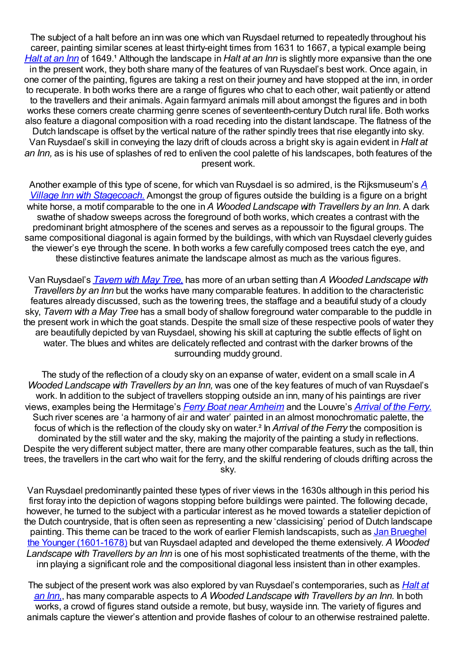The subject of a halt before an inn was one which van Ruysdael returned to repeatedly throughout his career, painting similar scenes at least thirty-eight times from 1631 to 1667, a typical example being *[Halt](http://www.wga.hu/frames-e.html?/html/r/ruysdael/salomon/2/tavern.html)* at an *Inn* of 1649.<sup>1</sup> Although the landscape in *Halt* at an *Inn* is slightly more expansive than the one in the present work, they both share many of the features of van Ruysdael's best work. Once again, in one corner of the painting, figures are taking a rest on their journey and have stopped at the inn, in order to recuperate. In both works there are a range of figures who chat to each other, wait patiently or attend to the travellers and their animals. Again farmyard animals mill about amongst the figures and in both works these corners create charming genre scenes of seventeenth-century Dutch rural life. Both works also feature a diagonal composition with a road receding into the distant landscape. The flatness of the Dutch landscape is offset by the vertical nature of the rather spindly trees that rise elegantly into sky. Van Ruysdael's skill in conveying the lazy drift of clouds across a bright sky is again evident in *Halt at an Inn,* as is his use of splashes of red to enliven the cool palette of his landscapes, both features of the present work.

Another example of this type of scene, for which van Ruysdael is so admired, is the [Rijksmuseum's](https://www.rijksmuseum.nl/en/explore-the-collection/overview/salomon-van-ruysdael/objects#/SK-A-713,4) *A Village Inn with Stagecoach.* Amongst the group of figures outside the building is a figure on a bright white horse, a motif comparable to the one in *A Wooded Landscape with Travellers by an Inn.* A dark swathe of shadow sweeps across the foreground of both works, which creates a contrast with the predominant bright atmosphere of the scenes and serves as a repoussoir to the figural groups. The same compositional diagonal is again formed by the buildings, with which van Ruysdael cleverly guides the viewer's eye through the scene. In both works a few carefully composed trees catch the eye, and these distinctive features animate the landscape almost as much as the various figures.

Van Ruysdael's *[Tavern](http://commons.wikimedia.org/wiki/File:Salomon_van_Ruysdael_-_Tavern_with_May_Tree_-_WGA20577.jpg) with May Tree,* has more of an urban setting than *A Wooded Landscape with Travellers by an Inn* but the works have many comparable features. In addition to the characteristic features already discussed, such as the towering trees, the staffage and a beautiful study of a cloudy sky, *Tavern with a May Tree* has a small body of shallow foreground water comparable to the puddle in the present work in which the goat stands. Despite the small size of these respective pools of water they are beautifully depicted by van Ruysdael, showing his skill at capturing the subtle effects of light on water. The blues and whites are delicately reflected and contrast with the darker browns of the surrounding muddy ground.

The study of the reflection of a cloudy sky on an expanse of water, evident on a small scale in *A Wooded Landscape with Travellers by an Inn,* was one of the key features of much of van Ruysdael's work. In addition to the subject of travellers stopping outside an inn, many of his paintings are river views, examples being the Hermitage's *Ferry Boat near [Arnheim](http://commons.wikimedia.org/wiki/File:Salomon_van_Ruysdael_-_A_Ferry_Boat_near_Arnheim_-_WGA20576.jpg)* and the Louvre's *[Arrival](http://cartelen.louvre.fr/cartelen/visite?srv=car_not_frame&idNotice=10356) of the Ferry.* Such river scenes are 'a harmony of air and water' painted in an almost monochromatic palette, the focus of which is the reflection of the cloudy sky on water.² In *Arrival of the Ferry* the composition is dominated by the still water and the sky, making the majority of the painting a study in reflections. Despite the very different subject matter, there are many other comparable features, such as the tall, thin trees, the travellers in the cart who wait for the ferry, and the skilful rendering of clouds drifting across the sky.

Van Ruysdael predominantly painted these types of river views in the 1630s although in this period his first foray into the depiction of wagons stopping before buildings were painted. The following decade, however, he turned to the subject with a particular interest as he moved towards a statelier depiction of the Dutch countryside, that is often seen as representing a new 'classicising' period of Dutch landscape painting. This theme can be traced to the work of earlier Flemish [landscapists,](Brueghel-Jan-DesktopDefault.aspx?tabid=45&tabindex=44&artistid=18844) such as Jan Brueghel the Younger (1601-1678) but van Ruysdael adapted and developed the theme extensively. *A Wooded Landscape with Travellers by an Inn* is one of his most sophisticated treatments of the theme, with the inn playing a significant role and the compositional diagonal less insistent than in other examples.

The subject of the present work was also explored by van Ruysdael's [contemporaries,](Molijn-Pieter-DesktopDefault.aspx?tabid=45&tabindex=44&artistid=38344) such as *Halt at an Inn,*, has many comparable aspects to *A Wooded Landscape with Travellers by an Inn.* In both works, a crowd of figures stand outside a remote, but busy, wayside inn. The variety of figures and animals capture the viewer's attention and provide flashes of colour to an otherwise restrained palette.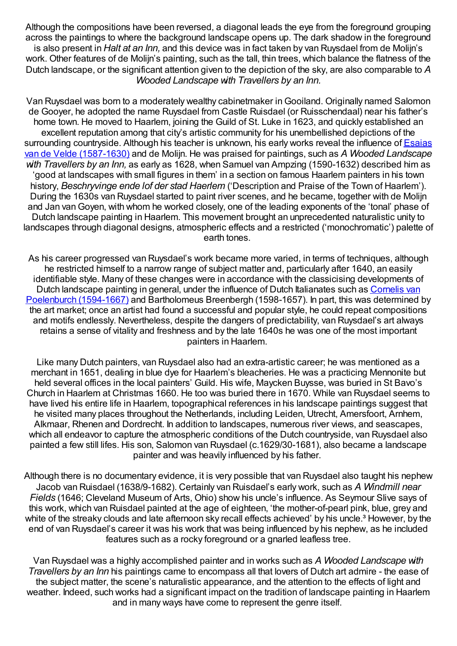Although the compositions have been reversed, a diagonal leads the eye from the foreground grouping across the paintings to where the background landscape opens up. The dark shadow in the foreground is also present in *Halt at an Inn,* and this device was in fact taken by van Ruysdael from de Molijn's work. Other features of de Molijn's painting, such as the tall, thin trees, which balance the flatness of the Dutch landscape, or the significant attention given to the depiction of the sky, are also comparable to *A Wooded Landscape with Travellers by an Inn.*

Van Ruysdael was born to a moderately wealthy cabinetmaker inGooiland. Originally named Salomon de Gooyer, he adopted the name Ruysdael from Castle Ruisdael (or Ruisschendaal) near his father's home town. He moved to Haarlem, joining the Guild of St. Luke in 1623, and quickly established an excellent reputation among that city's artistic community for his unembellished depictions of the surrounding countryside. Although his teacher is unknown, his early works reveal the influence of **Esaias** van de Velde [\(1587-1630\)](Velde-Esaias-van-DesktopDefault.aspx?tabid=45&tabindex=44&artistid=41348) and de Molijn. He was praised for paintings, such as *A Wooded Landscape with Travellers by an Inn,* as early as 1628, when Samuel van Ampzing (1590-1632) described him as 'good at landscapes with small figures in them' in a section on famous Haarlem painters in his town history, *Beschryvinge ende lof der stad Haerlem* ('Description and Praise of the Town of Haarlem'). During the 1630s van Ruysdael started to paint river scenes, and he became, together with de Molijn and Jan vanGoyen, with whom he worked closely, one of the leading exponents of the 'tonal' phase of Dutch landscape painting in Haarlem. This movement brought an unprecedented naturalistic unity to landscapes through diagonal designs, atmospheric effects and a restricted ('monochromatic') palette of earth tones.

As his career progressed van Ruysdael's work became more varied, in terms of techniques, although he restricted himself to a narrow range of subject matter and, particularly after 1640, an easily identifiable style. Many of these changes were in accordance with the classicising developments of Dutch landscape painting in general, under the influence of Dutch Italianates such as Cornelis van Poelenburch (1594-1667) and [Bartholomeus](Poelenburch-Cornelis-van-DesktopDefault.aspx?tabid=45&tabindex=44&artistid=38784) Breenbergh (1598-1657). In part, this was determined by the art market; once an artist had found a successful and popular style, he could repeat compositions and motifs endlessly. Nevertheless, despite the dangers of predictability, van Ruysdael's art always retains a sense of vitality and freshness and by the late 1640s he was one of the most important painters in Haarlem.

Like many Dutch painters, van Ruysdael also had an extra-artistic career; he was mentioned as a merchant in 1651, dealing in blue dye for Haarlem's bleacheries. He was a practicing Mennonite but held several offices in the local painters' Guild. His wife, Maycken Buysse, was buried in St Bavo's Church in Haarlem at Christmas 1660. He too was buried there in 1670. While van Ruysdael seems to have lived his entire life in Haarlem, topographical references in his landscape paintings suggest that he visited many places throughout the Netherlands, including Leiden, Utrecht, Amersfoort, Arnhem, Alkmaar, Rhenen and Dordrecht. In addition to landscapes, numerous river views, and seascapes, which all endeavor to capture the atmospheric conditions of the Dutch countryside, van Ruysdael also painted a few still lifes. His son, Salomon van Ruysdael (c.1629/30-1681), also became a landscape painter and was heavily influenced by his father.

Although there is no documentary evidence, it is very possible that van Ruysdael also taught his nephew Jacob van Ruisdael (1638/9-1682). Certainly van Ruisdael's early work, such as *A Windmill near Fields* (1646; Cleveland Museum of Arts, Ohio) show his uncle's influence. As Seymour Slive says of this work, which van Ruisdael painted at the age of eighteen, 'the mother-of-pearl pink, blue, grey and white of the streaky clouds and late afternoon sky recall effects achieved' by his uncle.<sup>3</sup> However, by the end of van Ruysdael's career it was his work that was being influenced by his nephew, as he included features such as a rocky foreground or a gnarled leafless tree.

Van Ruysdael was a highly accomplished painter and in works such as *A Wooded Landscape with Travellers by an Inn* his paintings came to encompass all that lovers of Dutch art admire - the ease of the subject matter, the scene's naturalistic appearance, and the attention to the effects of light and weather. Indeed, such works had a significant impact on the tradition of landscape painting in Haarlem and in many ways have come to represent the genre itself.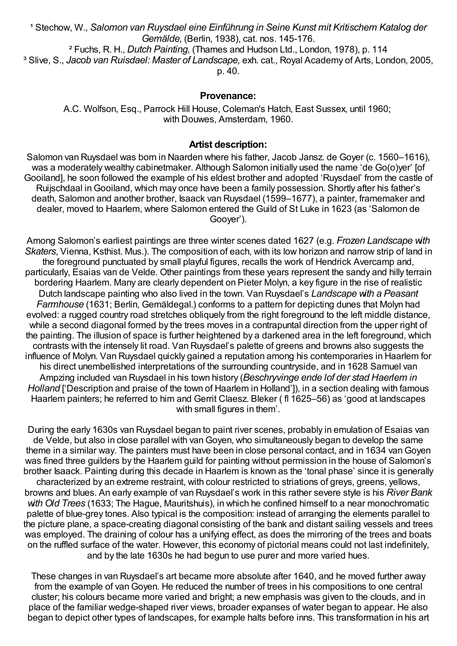¹ Stechow, W., *Salomon van Ruysdael eine Einführung in Seine Kunst mit Kritischem Katalog der Gemälde,* (Berlin, 1938), cat. nos. 145-176.

² Fuchs, R. H., *Dutch Painting,* (Thames and Hudson Ltd., London, 1978), p. 114 ³ Slive, S., *Jacob van Ruisdael: Master of Landscape,* exh. cat., Royal Academy of Arts, London, 2005, p. 40.

#### **Provenance:**

A.C. Wolfson, Esq., Parrock Hill House, Coleman's Hatch, East Sussex, until 1960; with Douwes, Amsterdam, 1960.

#### **Artist description:**

Salomon van Ruysdael was born in Naarden where his father, Jacob Jansz. de Goyer (c. 1560–1616), was a moderately wealthy cabinetmaker. Although Salomon initially used the name 'de Go(o)yer' [of Gooiland], he soon followed the example of his eldest brother and adopted 'Ruysdael' from the castle of Ruijschdaal inGooiland, which may once have been a family possession. Shortly after his father's death, Salomon and another brother, Isaack van Ruysdael (1599–1677), a painter, framemaker and dealer, moved to Haarlem, where Salomon entered the Guild of St Luke in 1623 (as 'Salomon de Gooyer').

Among Salomon's earliest paintings are three winter scenes dated 1627 (e.g. *Frozen Landscape with Skaters*, Vienna, Ksthist. Mus.). The composition of each, with its low horizon and narrow strip of land in the foreground punctuated by small playful figures, recalls the work of Hendrick Avercamp and, particularly, Esaias van de Velde. Other paintings from these years represent the sandy and hilly terrain bordering Haarlem. Many are clearly dependent on Pieter Molyn, a key figure in the rise of realistic Dutch landscape painting who also lived in the town. Van Ruysdael's *Landscape with a Peasant Farmhouse* (1631; Berlin, Gemäldegal.) conforms to a pattern for depicting dunes that Molyn had evolved: a rugged country road stretches obliquely from the right foreground to the left middle distance, while a second diagonal formed by the trees moves in a contrapuntal direction from the upper right of the painting. The illusion of space is further heightened by a darkened area in the left foreground, which contrasts with the intensely lit road. Van Ruysdael's palette of greens and browns also suggests the influence of Molyn. Van Ruysdael quickly gained a reputation among his contemporaries in Haarlem for his direct unembellished interpretations of the surrounding countryside, and in 1628 Samuel van Ampzing included van Ruysdael in his town history (*Beschryvinge ende lof der stad Haerlem in Holland* ['Description and praise of the town of Haarlem in Holland']), in a section dealing with famous Haarlem painters; he referred to him and Gerrit Claesz. Bleker ( fl 1625–56) as 'good at landscapes with small figures in them'.

During the early 1630s van Ruysdael began to paint river scenes, probably in emulation of Esaias van de Velde, but also in close parallel with van Goyen, who simultaneously began to develop the same theme in a similar way. The painters must have been in close personal contact, and in 1634 vanGoyen was fined three guilders by the Haarlem guild for painting without permission in the house of Salomon's brother Isaack. Painting during this decade in Haarlem is known as the 'tonal phase' since it is generally characterized by an extreme restraint, with colour restricted to striations of greys, greens, yellows, browns and blues. An early example of van Ruysdael's work in this rather severe style is his *River Bank with Old Trees* (1633; The Hague, Mauritshuis), in which he confined himself to a near monochromatic palette of blue-grey tones. Also typical is the composition: instead of arranging the elements parallel to the picture plane, a space-creating diagonal consisting of the bank and distant sailing vessels and trees was employed. The draining of colour has a unifying effect, as does the mirroring of the trees and boats on the ruffled surface of the water. However, this economy of pictorial means could not last indefinitely, and by the late 1630s he had begun to use purer and more varied hues.

These changes in van Ruysdael's art became more absolute after 1640, and he moved further away from the example of van Goyen. He reduced the number of trees in his compositions to one central cluster; his colours became more varied and bright; a new emphasis was given to the clouds, and in place of the familiar wedge-shaped river views, broader expanses of water began to appear. He also began to depict other types of landscapes, for example halts before inns. This transformation in his art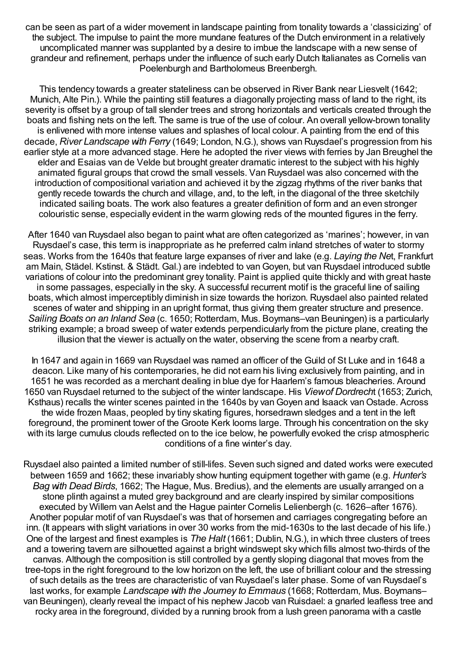can be seen as part of a wider movement in landscape painting from tonality towards a 'classicizing' of the subject. The impulse to paint the more mundane features of the Dutch environment in a relatively uncomplicated manner was supplanted by a desire to imbue the landscape with a new sense of grandeur and refinement, perhaps under the influence of such early Dutch Italianates as Cornelis van Poelenburgh and Bartholomeus Breenbergh.

This tendency towards a greater stateliness can be observed in River Bank near Liesvelt (1642; Munich, Alte Pin.). While the painting still features a diagonally projecting mass of land to the right, its severity is offset by a group of tall slender trees and strong horizontals and verticals created through the boats and fishing nets on the left. The same is true of the use of colour. An overall yellow-brown tonality is enlivened with more intense values and splashes of local colour. A painting from the end of this decade, *River Landscape with Ferry* (1649; London, N.G.), shows van Ruysdael's progression from his earlier style at a more advanced stage. Here he adopted the river views with ferries by Jan Breughel the elder and Esaias van de Velde but brought greater dramatic interest to the subject with his highly animated figural groups that crowd the small vessels. Van Ruysdael was also concerned with the introduction of compositional variation and achieved it by the zigzag rhythms of the river banks that gently recede towards the church and village, and, to the left, in the diagonal of the three sketchily indicated sailing boats. The work also features a greater definition of form and an even stronger colouristic sense, especially evident in the warm glowing reds of the mounted figures in the ferry.

After 1640 van Ruysdael also began to paint what are often categorized as 'marines'; however, in van Ruysdael's case, this term is inappropriate as he preferred calm inland stretches of water to stormy seas. Works from the 1640s that feature large expanses of river and lake (e.g. *Laying the Ne*t, Frankfurt am Main, Städel. Kstinst. & Städt. Gal.) are indebted to vanGoyen, but van Ruysdael introduced subtle variations of colour into the predominant grey tonality. Paint is applied quite thickly and with great haste in some passages, especially in the sky. A successful recurrent motif is the graceful line of sailing boats, which almost imperceptibly diminish in size towards the horizon. Ruysdael also painted related scenes of water and shipping in an upright format, thus giving them greater structure and presence. *Sailing Boats on an Inland Sea* (c. 1650; Rotterdam, Mus. Boymans–van Beuningen) is a particularly striking example; a broad sweep of water extends perpendicularly from the picture plane, creating the illusion that the viewer is actually on the water, observing the scene from a nearby craft.

In 1647 and again in 1669 van Ruysdael was named an officer of the Guild of St Luke and in 1648 a deacon. Like many of his contemporaries, he did not earn his living exclusively from painting, and in 1651 he was recorded as a merchant dealing in blue dye for Haarlem's famous bleacheries. Around 1650 van Ruysdael returned to the subject of the winter landscape. His *Viewof Dordrech*t (1653; Zurich, Ksthaus) recalls the winter scenes painted in the 1640s by van Goyen and Isaack van Ostade. Across the wide frozen Maas, peopled by tiny skating figures, horsedrawn sledges and a tent in the left foreground, the prominent tower of the Groote Kerk looms large. Through his concentration on the sky with its large cumulus clouds reflected on to the ice below, he powerfully evoked the crisp atmospheric conditions of a fine winter's day.

Ruysdael also painted a limited number of still-lifes. Seven such signed and dated works were executed between 1659 and 1662; these invariably show hunting equipment together with game (e.g. *Hunter's Bag with Dead Birds*, 1662; The Hague, Mus. Bredius), and the elements are usually arranged on a stone plinth against a muted grey background and are clearly inspired by similar compositions executed by Willem van Aelst and the Hague painter Cornelis Lelienbergh (c. 1626–after 1676). Another popular motif of van Ruysdael's was that of horsemen and carriages congregating before an inn. (It appears with slight variations in over 30 works from the mid-1630s to the last decade of his life.) One of the largest and finest examples is *The Halt* (1661; Dublin, N.G.), in which three clusters of trees and a towering tavern are silhouetted against a bright windswept sky which fills almost two-thirds of the canvas. Although the composition is still controlled by a gently sloping diagonal that moves from the tree-tops in the right foreground to the low horizon on the left, the use of brilliant colour and the stressing of such details as the trees are characteristic of van Ruysdael's later phase. Some of van Ruysdael's last works, for example *Landscape with the Journey to Emmaus* (1668; Rotterdam, Mus. Boymans– van Beuningen), clearly reveal the impact of his nephew Jacob van Ruisdael: a gnarled leafless tree and rocky area in the foreground, divided by a running brook from a lush green panorama with a castle